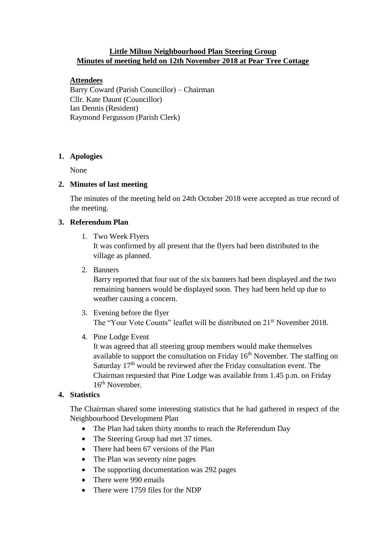# **Little Milton Neighbourhood Plan Steering Group Minutes of meeting held on 12th November 2018 at Pear Tree Cottage**

## **Attendees**

Barry Coward (Parish Councillor) – Chairman Cllr. Kate Daunt (Councillor) Ian Dennis (Resident) Raymond Fergusson (Parish Clerk)

## **1. Apologies**

None

### **2. Minutes of last meeting**

The minutes of the meeting held on 24th October 2018 were accepted as true record of the meeting.

## **3. Referendum Plan**

1. Two Week Flyers

It was confirmed by all present that the flyers had been distributed to the village as planned.

2. Banners

Barry reported that four out of the six banners had been displayed and the two remaining banners would be displayed soon. They had been held up due to weather causing a concern.

- 3. Evening before the flyer The "Your Vote Counts" leaflet will be distributed on 21<sup>st</sup> November 2018.
- 4. Pine Lodge Event

It was agreed that all steering group members would make themselves available to support the consultation on Friday  $16<sup>th</sup>$  November. The staffing on Saturday 17<sup>th</sup> would be reviewed after the Friday consultation event. The Chairman requested that Pine Lodge was available from 1.45 p.m. on Friday 16<sup>th</sup> November.

## **4. Statistics**

The Chairman shared some interesting statistics that he had gathered in respect of the Neighbourhood Development Plan

- The Plan had taken thirty months to reach the Referendum Day
- The Steering Group had met 37 times.
- There had been 67 versions of the Plan
- The Plan was seventy nine pages
- The supporting documentation was 292 pages
- There were 990 emails
- There were 1759 files for the NDP